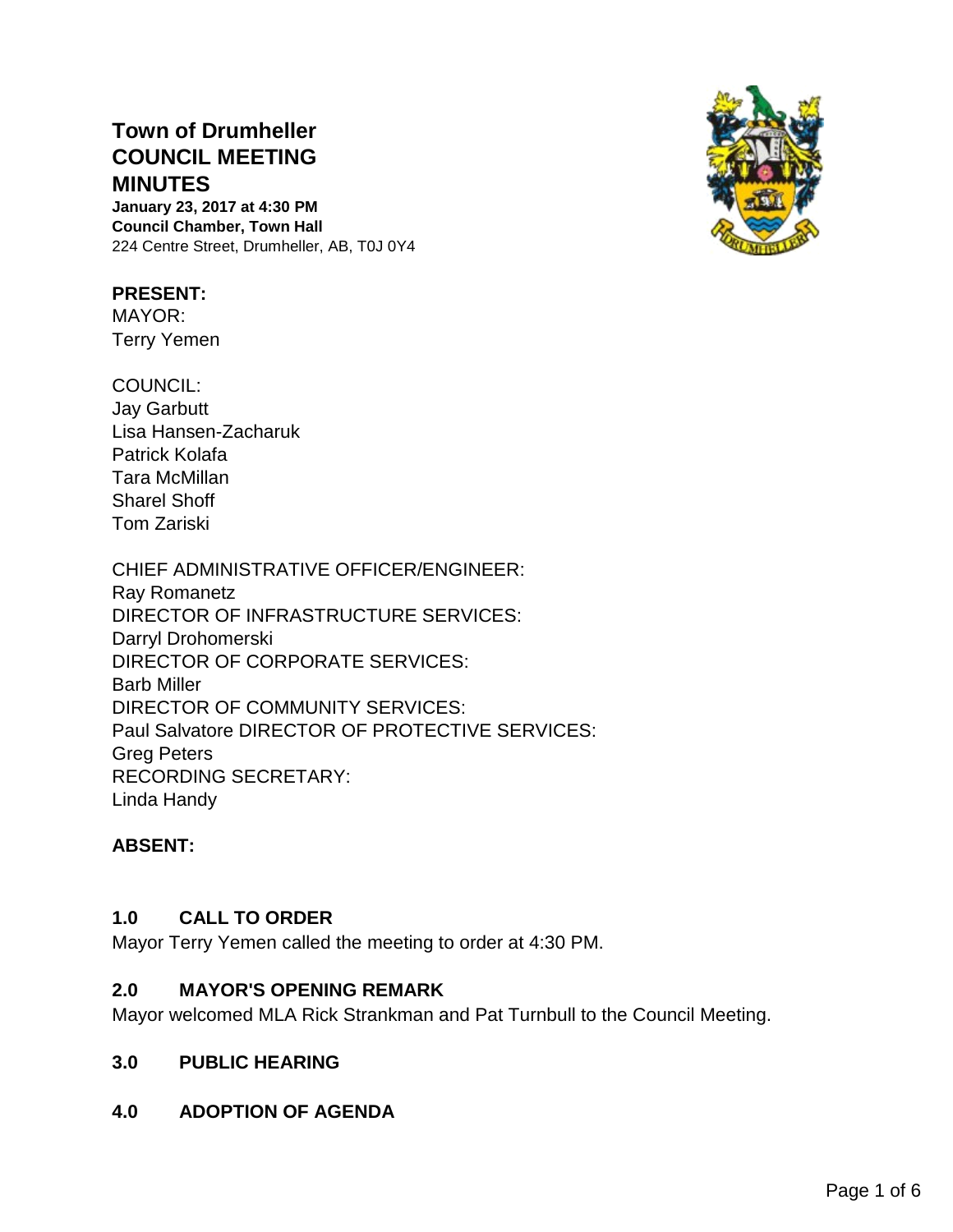# **Town of Drumheller COUNCIL MEETING MINUTES**

**January 23, 2017 at 4:30 PM Council Chamber, Town Hall** 224 Centre Street, Drumheller, AB, T0J 0Y4

#### **PRESENT:**

MAYOR: Terry Yemen

COUNCIL: Jay Garbutt Lisa Hansen-Zacharuk Patrick Kolafa Tara McMillan Sharel Shoff Tom Zariski

CHIEF ADMINISTRATIVE OFFICER/ENGINEER: Ray Romanetz DIRECTOR OF INFRASTRUCTURE SERVICES: Darryl Drohomerski DIRECTOR OF CORPORATE SERVICES: Barb Miller DIRECTOR OF COMMUNITY SERVICES: Paul Salvatore DIRECTOR OF PROTECTIVE SERVICES: Greg Peters RECORDING SECRETARY: Linda Handy

# **ABSENT:**

#### **1.0 CALL TO ORDER**

Mayor Terry Yemen called the meeting to order at 4:30 PM.

#### **2.0 MAYOR'S OPENING REMARK**

Mayor welcomed MLA Rick Strankman and Pat Turnbull to the Council Meeting.

#### **3.0 PUBLIC HEARING**

**4.0 ADOPTION OF AGENDA**

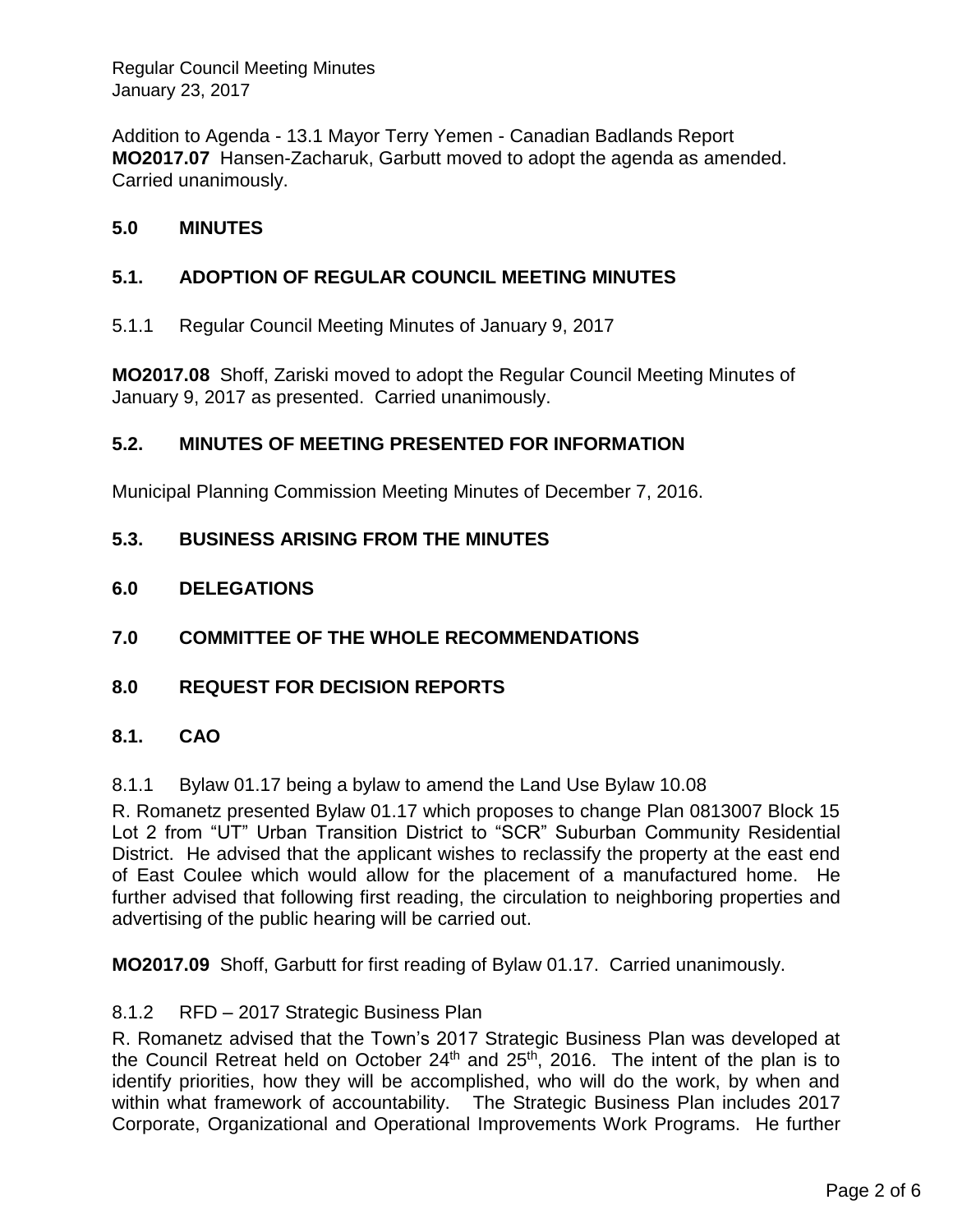Addition to Agenda - 13.1 Mayor Terry Yemen - Canadian Badlands Report **MO2017.07** Hansen-Zacharuk, Garbutt moved to adopt the agenda as amended. Carried unanimously.

## **5.0 MINUTES**

## **5.1. ADOPTION OF REGULAR COUNCIL MEETING MINUTES**

5.1.1 Regular Council Meeting Minutes of January 9, 2017

**MO2017.08** Shoff, Zariski moved to adopt the Regular Council Meeting Minutes of January 9, 2017 as presented. Carried unanimously.

#### **5.2. MINUTES OF MEETING PRESENTED FOR INFORMATION**

Municipal Planning Commission Meeting Minutes of December 7, 2016.

#### **5.3. BUSINESS ARISING FROM THE MINUTES**

#### **6.0 DELEGATIONS**

- **7.0 COMMITTEE OF THE WHOLE RECOMMENDATIONS**
- **8.0 REQUEST FOR DECISION REPORTS**

#### **8.1. CAO**

8.1.1 Bylaw 01.17 being a bylaw to amend the Land Use Bylaw 10.08

R. Romanetz presented Bylaw 01.17 which proposes to change Plan 0813007 Block 15 Lot 2 from "UT" Urban Transition District to "SCR" Suburban Community Residential District. He advised that the applicant wishes to reclassify the property at the east end of East Coulee which would allow for the placement of a manufactured home. He further advised that following first reading, the circulation to neighboring properties and advertising of the public hearing will be carried out.

**MO2017.09** Shoff, Garbutt for first reading of Bylaw 01.17. Carried unanimously.

#### 8.1.2 RFD – 2017 Strategic Business Plan

R. Romanetz advised that the Town's 2017 Strategic Business Plan was developed at the Council Retreat held on October  $24<sup>th</sup>$  and  $25<sup>th</sup>$ , 2016. The intent of the plan is to identify priorities, how they will be accomplished, who will do the work, by when and within what framework of accountability. The Strategic Business Plan includes 2017 Corporate, Organizational and Operational Improvements Work Programs. He further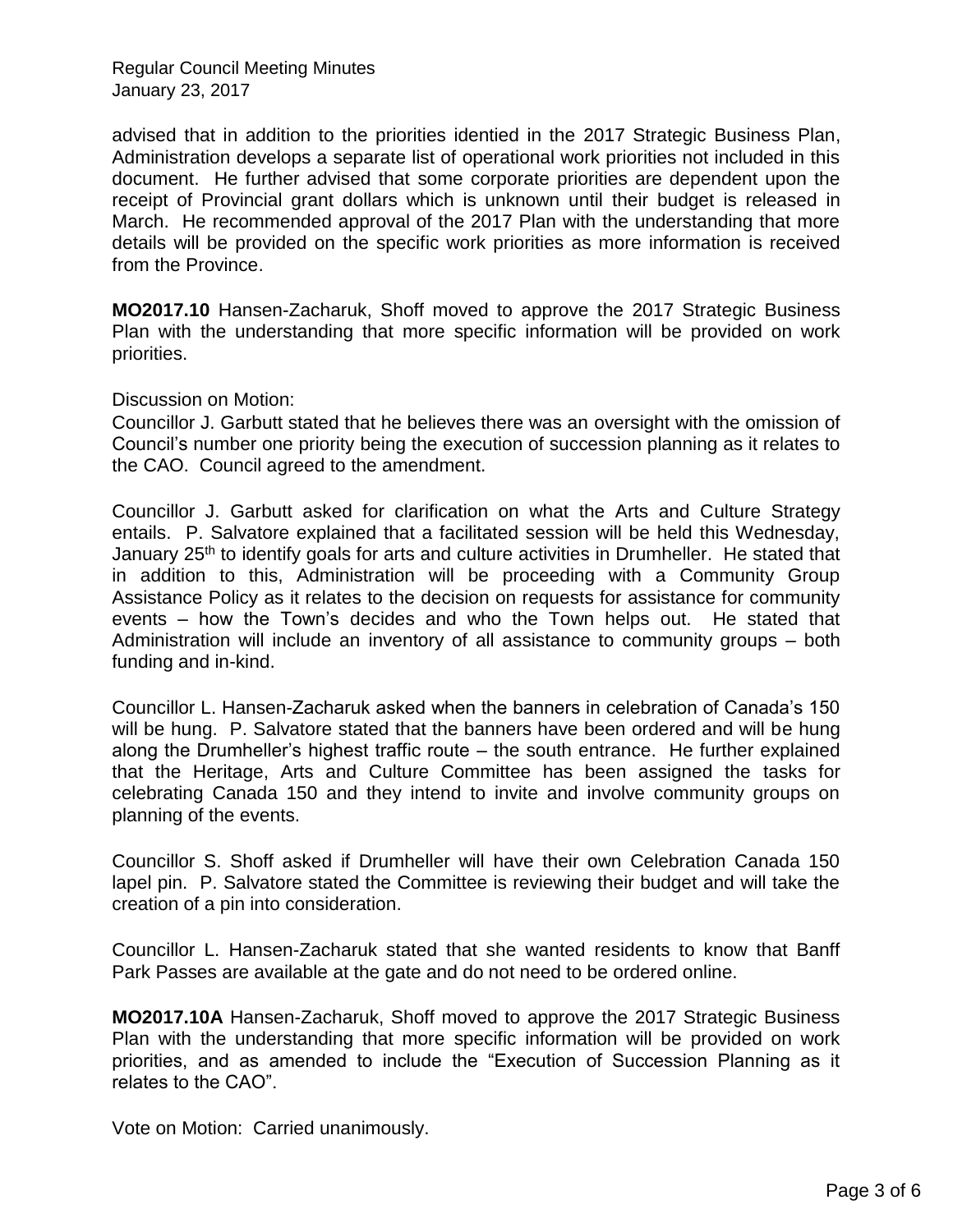advised that in addition to the priorities identied in the 2017 Strategic Business Plan, Administration develops a separate list of operational work priorities not included in this document. He further advised that some corporate priorities are dependent upon the receipt of Provincial grant dollars which is unknown until their budget is released in March. He recommended approval of the 2017 Plan with the understanding that more details will be provided on the specific work priorities as more information is received from the Province.

**MO2017.10** Hansen-Zacharuk, Shoff moved to approve the 2017 Strategic Business Plan with the understanding that more specific information will be provided on work priorities.

Discussion on Motion:

Councillor J. Garbutt stated that he believes there was an oversight with the omission of Council's number one priority being the execution of succession planning as it relates to the CAO. Council agreed to the amendment.

Councillor J. Garbutt asked for clarification on what the Arts and Culture Strategy entails. P. Salvatore explained that a facilitated session will be held this Wednesday, January 25<sup>th</sup> to identify goals for arts and culture activities in Drumheller. He stated that in addition to this, Administration will be proceeding with a Community Group Assistance Policy as it relates to the decision on requests for assistance for community events – how the Town's decides and who the Town helps out. He stated that Administration will include an inventory of all assistance to community groups – both funding and in-kind.

Councillor L. Hansen-Zacharuk asked when the banners in celebration of Canada's 150 will be hung. P. Salvatore stated that the banners have been ordered and will be hung along the Drumheller's highest traffic route – the south entrance. He further explained that the Heritage, Arts and Culture Committee has been assigned the tasks for celebrating Canada 150 and they intend to invite and involve community groups on planning of the events.

Councillor S. Shoff asked if Drumheller will have their own Celebration Canada 150 lapel pin. P. Salvatore stated the Committee is reviewing their budget and will take the creation of a pin into consideration.

Councillor L. Hansen-Zacharuk stated that she wanted residents to know that Banff Park Passes are available at the gate and do not need to be ordered online.

**MO2017.10A** Hansen-Zacharuk, Shoff moved to approve the 2017 Strategic Business Plan with the understanding that more specific information will be provided on work priorities, and as amended to include the "Execution of Succession Planning as it relates to the CAO".

Vote on Motion: Carried unanimously.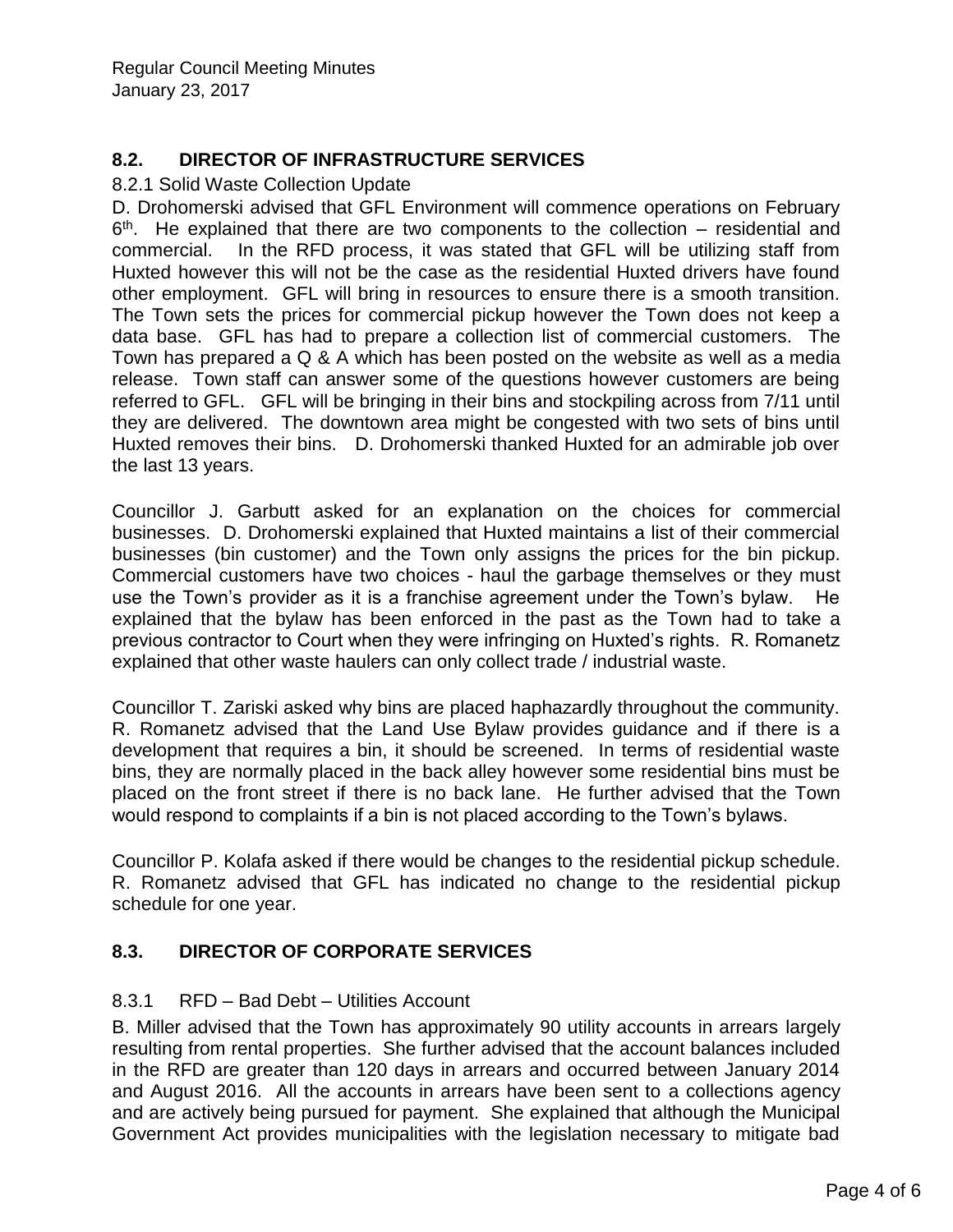# **8.2. DIRECTOR OF INFRASTRUCTURE SERVICES**

#### 8.2.1 Solid Waste Collection Update

D. Drohomerski advised that GFL Environment will commence operations on February  $6<sup>th</sup>$ . He explained that there are two components to the collection – residential and commercial. In the RFD process, it was stated that GFL will be utilizing staff from Huxted however this will not be the case as the residential Huxted drivers have found other employment. GFL will bring in resources to ensure there is a smooth transition. The Town sets the prices for commercial pickup however the Town does not keep a data base. GFL has had to prepare a collection list of commercial customers. The Town has prepared a Q & A which has been posted on the website as well as a media release. Town staff can answer some of the questions however customers are being referred to GFL. GFL will be bringing in their bins and stockpiling across from 7/11 until they are delivered. The downtown area might be congested with two sets of bins until Huxted removes their bins. D. Drohomerski thanked Huxted for an admirable job over the last 13 years.

Councillor J. Garbutt asked for an explanation on the choices for commercial businesses. D. Drohomerski explained that Huxted maintains a list of their commercial businesses (bin customer) and the Town only assigns the prices for the bin pickup. Commercial customers have two choices - haul the garbage themselves or they must use the Town's provider as it is a franchise agreement under the Town's bylaw. He explained that the bylaw has been enforced in the past as the Town had to take a previous contractor to Court when they were infringing on Huxted's rights. R. Romanetz explained that other waste haulers can only collect trade / industrial waste.

Councillor T. Zariski asked why bins are placed haphazardly throughout the community. R. Romanetz advised that the Land Use Bylaw provides guidance and if there is a development that requires a bin, it should be screened. In terms of residential waste bins, they are normally placed in the back alley however some residential bins must be placed on the front street if there is no back lane. He further advised that the Town would respond to complaints if a bin is not placed according to the Town's bylaws.

Councillor P. Kolafa asked if there would be changes to the residential pickup schedule. R. Romanetz advised that GFL has indicated no change to the residential pickup schedule for one year.

#### **8.3. DIRECTOR OF CORPORATE SERVICES**

#### 8.3.1 RFD – Bad Debt – Utilities Account

B. Miller advised that the Town has approximately 90 utility accounts in arrears largely resulting from rental properties. She further advised that the account balances included in the RFD are greater than 120 days in arrears and occurred between January 2014 and August 2016. All the accounts in arrears have been sent to a collections agency and are actively being pursued for payment. She explained that although the Municipal Government Act provides municipalities with the legislation necessary to mitigate bad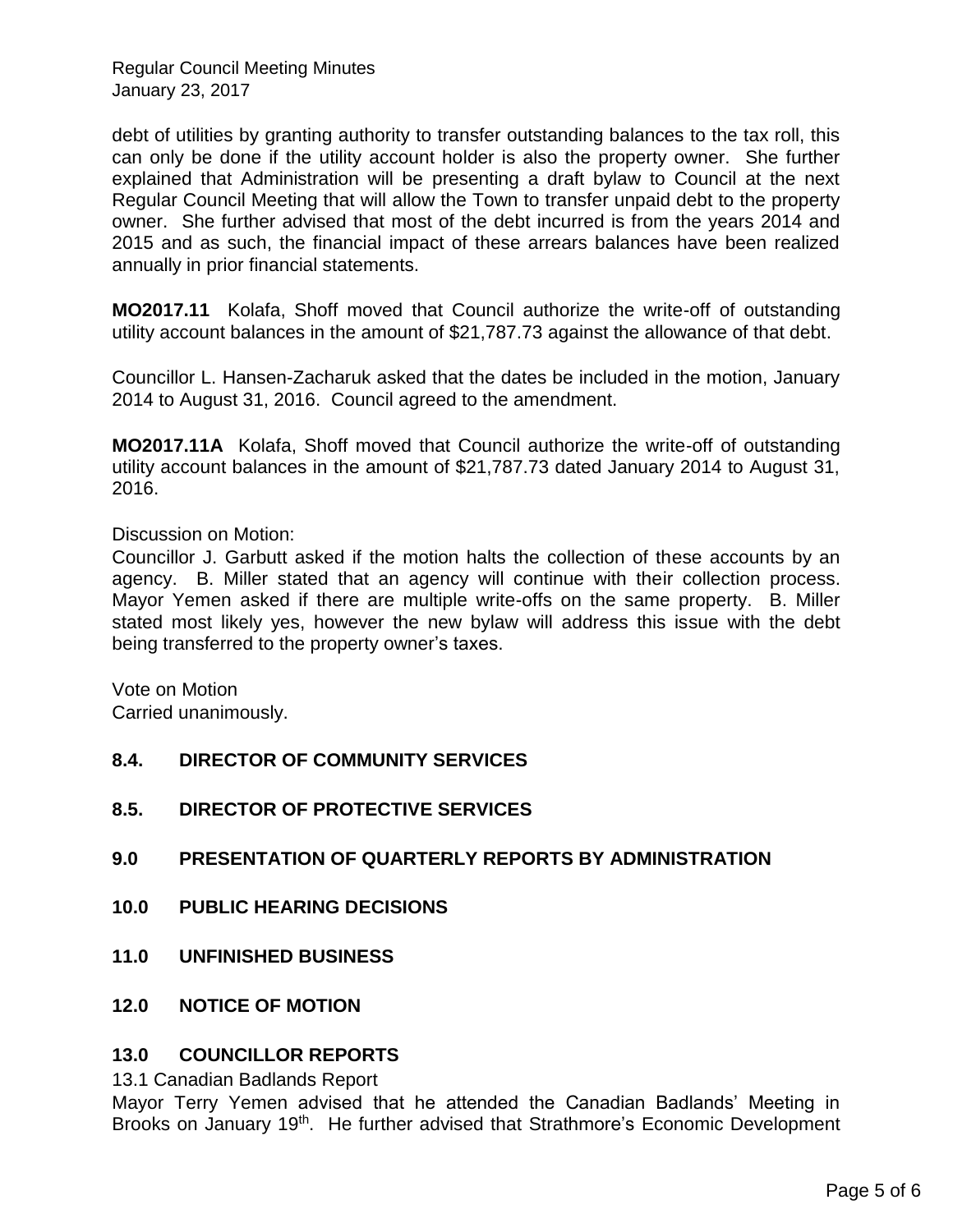debt of utilities by granting authority to transfer outstanding balances to the tax roll, this can only be done if the utility account holder is also the property owner. She further explained that Administration will be presenting a draft bylaw to Council at the next Regular Council Meeting that will allow the Town to transfer unpaid debt to the property owner. She further advised that most of the debt incurred is from the years 2014 and 2015 and as such, the financial impact of these arrears balances have been realized annually in prior financial statements.

**MO2017.11** Kolafa, Shoff moved that Council authorize the write-off of outstanding utility account balances in the amount of \$21,787.73 against the allowance of that debt.

Councillor L. Hansen-Zacharuk asked that the dates be included in the motion, January 2014 to August 31, 2016. Council agreed to the amendment.

**MO2017.11A** Kolafa, Shoff moved that Council authorize the write-off of outstanding utility account balances in the amount of \$21,787.73 dated January 2014 to August 31, 2016.

Discussion on Motion:

Councillor J. Garbutt asked if the motion halts the collection of these accounts by an agency. B. Miller stated that an agency will continue with their collection process. Mayor Yemen asked if there are multiple write-offs on the same property. B. Miller stated most likely yes, however the new bylaw will address this issue with the debt being transferred to the property owner's taxes.

Vote on Motion Carried unanimously.

#### **8.4. DIRECTOR OF COMMUNITY SERVICES**

- **8.5. DIRECTOR OF PROTECTIVE SERVICES**
- **9.0 PRESENTATION OF QUARTERLY REPORTS BY ADMINISTRATION**
- **10.0 PUBLIC HEARING DECISIONS**
- **11.0 UNFINISHED BUSINESS**
- **12.0 NOTICE OF MOTION**

#### **13.0 COUNCILLOR REPORTS**

13.1 Canadian Badlands Report

Mayor Terry Yemen advised that he attended the Canadian Badlands' Meeting in Brooks on January 19<sup>th</sup>. He further advised that Strathmore's Economic Development